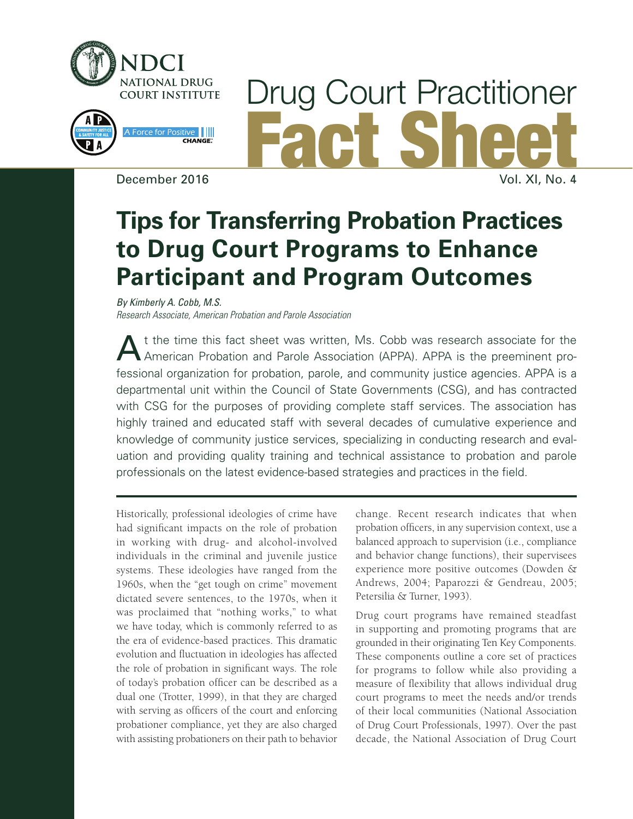

# Drug Court Practitioner Fact Sheet December 2016 Vol. XI, No. 4

## **Tips for Transferring Probation Practices to Drug Court Programs to Enhance Participant and Program Outcomes**

*By Kimberly A. Cobb, M.S. Research Associate, American Probation and Parole Association*

A t the time this fact sheet was written, Ms. Cobb was research associate for the American Probation and Parole Association (APPA). APPA is the preeminent professional organization for probation, parole, and community justice agencies. APPA is a departmental unit within the Council of State Governments (CSG), and has contracted with CSG for the purposes of providing complete staff services. The association has highly trained and educated staff with several decades of cumulative experience and knowledge of community justice services, specializing in conducting research and evaluation and providing quality training and technical assistance to probation and parole professionals on the latest evidence-based strategies and practices in the field.

Historically, professional ideologies of crime have had significant impacts on the role of probation in working with drug- and alcohol-involved individuals in the criminal and juvenile justice systems. These ideologies have ranged from the 1960s, when the "get tough on crime" movement dictated severe sentences, to the 1970s, when it was proclaimed that "nothing works," to what we have today, which is commonly referred to as the era of evidence-based practices. This dramatic evolution and fluctuation in ideologies has affected the role of probation in significant ways. The role of today's probation officer can be described as a dual one (Trotter, 1999), in that they are charged with serving as officers of the court and enforcing probationer compliance, yet they are also charged with assisting probationers on their path to behavior change. Recent research indicates that when probation officers, in any supervision context, use a balanced approach to supervision (i.e., compliance and behavior change functions), their supervisees experience more positive outcomes (Dowden & Andrews, 2004; Paparozzi & Gendreau, 2005; Petersilia & Turner, 1993).

Drug court programs have remained steadfast in supporting and promoting programs that are grounded in their originating Ten Key Components. These components outline a core set of practices for programs to follow while also providing a measure of flexibility that allows individual drug court programs to meet the needs and/or trends of their local communities (National Association of Drug Court Professionals, 1997). Over the past decade, the National Association of Drug Court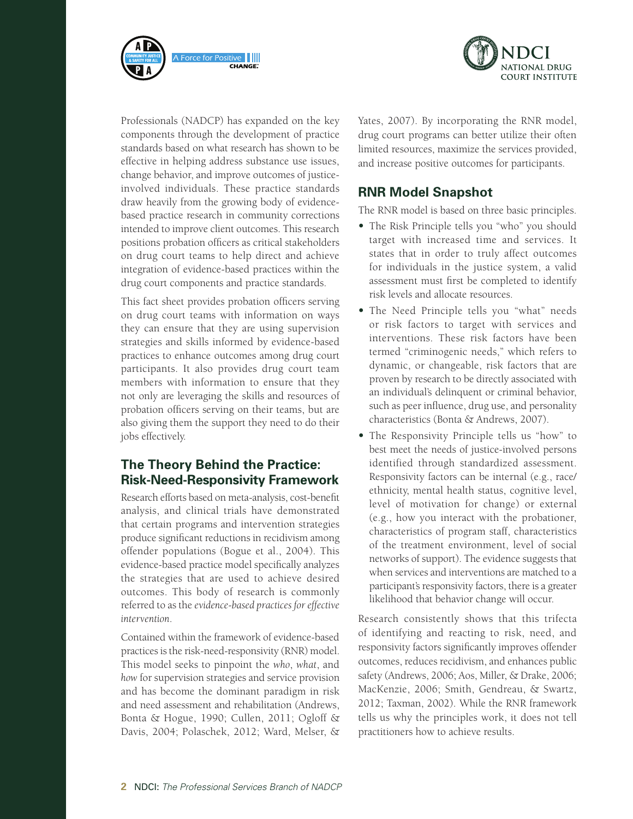



Professionals (NADCP) has expanded on the key components through the development of practice standards based on what research has shown to be effective in helping address substance use issues, change behavior, and improve outcomes of justiceinvolved individuals. These practice standards draw heavily from the growing body of evidencebased practice research in community corrections intended to improve client outcomes. This research positions probation officers as critical stakeholders on drug court teams to help direct and achieve integration of evidence-based practices within the drug court components and practice standards.

This fact sheet provides probation officers serving on drug court teams with information on ways they can ensure that they are using supervision strategies and skills informed by evidence-based practices to enhance outcomes among drug court participants. It also provides drug court team members with information to ensure that they not only are leveraging the skills and resources of probation officers serving on their teams, but are also giving them the support they need to do their jobs effectively.

#### **The Theory Behind the Practice: Risk-Need-Responsivity Framework**

Research efforts based on meta-analysis, cost-benefit analysis, and clinical trials have demonstrated that certain programs and intervention strategies produce significant reductions in recidivism among offender populations (Bogue et al., 2004). This evidence-based practice model specifically analyzes the strategies that are used to achieve desired outcomes. This body of research is commonly referred to as the *evidence-based practices for effective intervention*.

Contained within the framework of evidence-based practices is the risk-need-responsivity (RNR) model. This model seeks to pinpoint the *who*, *what*, and *how* for supervision strategies and service provision and has become the dominant paradigm in risk and need assessment and rehabilitation (Andrews, Bonta & Hogue, 1990; Cullen, 2011; Ogloff & Davis, 2004; Polaschek, 2012; Ward, Melser, & Yates, 2007). By incorporating the RNR model, drug court programs can better utilize their often limited resources, maximize the services provided, and increase positive outcomes for participants.

#### **RNR Model Snapshot**

The RNR model is based on three basic principles.

- **•**  The Risk Principle tells you "who" you should target with increased time and services. It states that in order to truly affect outcomes for individuals in the justice system, a valid assessment must first be completed to identify risk levels and allocate resources.
- **•**  The Need Principle tells you "what" needs or risk factors to target with services and interventions. These risk factors have been termed "criminogenic needs," which refers to dynamic, or changeable, risk factors that are proven by research to be directly associated with an individual's delinquent or criminal behavior, such as peer influence, drug use, and personality characteristics (Bonta & Andrews, 2007).
- The Responsivity Principle tells us "how" to best meet the needs of justice-involved persons identified through standardized assessment. Responsivity factors can be internal (e.g., race/ ethnicity, mental health status, cognitive level, level of motivation for change) or external (e.g., how you interact with the probationer, characteristics of program staff, characteristics of the treatment environment, level of social networks of support). The evidence suggests that when services and interventions are matched to a participant's responsivity factors, there is a greater likelihood that behavior change will occur.

Research consistently shows that this trifecta of identifying and reacting to risk, need, and responsivity factors significantly improves offender outcomes, reduces recidivism, and enhances public safety (Andrews, 2006; Aos, Miller, & Drake, 2006; MacKenzie, 2006; Smith, Gendreau, & Swartz, 2012; Taxman, 2002). While the RNR framework tells us why the principles work, it does not tell practitioners how to achieve results.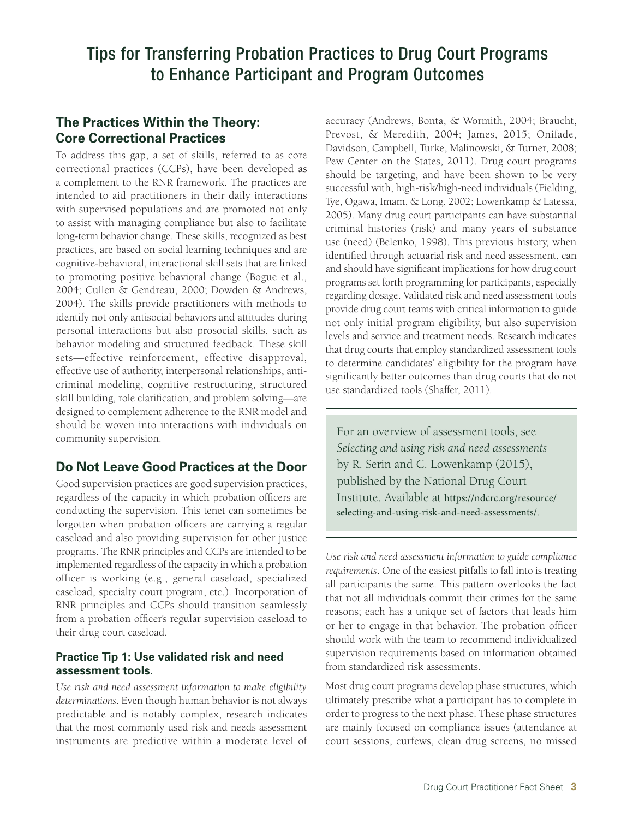#### **The Practices Within the Theory: Core Correctional Practices**

To address this gap, a set of skills, referred to as core correctional practices (CCPs), have been developed as a complement to the RNR framework. The practices are intended to aid practitioners in their daily interactions with supervised populations and are promoted not only to assist with managing compliance but also to facilitate long-term behavior change. These skills, recognized as best practices, are based on social learning techniques and are cognitive-behavioral, interactional skill sets that are linked to promoting positive behavioral change (Bogue et al., 2004; Cullen & Gendreau, 2000; Dowden & Andrews, 2004). The skills provide practitioners with methods to identify not only antisocial behaviors and attitudes during personal interactions but also prosocial skills, such as behavior modeling and structured feedback. These skill sets—effective reinforcement, effective disapproval, effective use of authority, interpersonal relationships, anticriminal modeling, cognitive restructuring, structured skill building, role clarification, and problem solving—are designed to complement adherence to the RNR model and should be woven into interactions with individuals on community supervision.

#### **Do Not Leave Good Practices at the Door**

Good supervision practices are good supervision practices, regardless of the capacity in which probation officers are conducting the supervision. This tenet can sometimes be forgotten when probation officers are carrying a regular caseload and also providing supervision for other justice programs. The RNR principles and CCPs are intended to be implemented regardless of the capacity in which a probation officer is working (e.g., general caseload, specialized caseload, specialty court program, etc.). Incorporation of RNR principles and CCPs should transition seamlessly from a probation officer's regular supervision caseload to their drug court caseload.

#### **Practice Tip 1: Use validated risk and need assessment tools.**

*Use risk and need assessment information to make eligibility determinations*. Even though human behavior is not always predictable and is notably complex, research indicates that the most commonly used risk and needs assessment instruments are predictive within a moderate level of accuracy (Andrews, Bonta, & Wormith, 2004; Braucht, Prevost, & Meredith, 2004; James, 2015; Onifade, Davidson, Campbell, Turke, Malinowski, & Turner, 2008; Pew Center on the States, 2011). Drug court programs should be targeting, and have been shown to be very successful with, high-risk/high-need individuals (Fielding, Tye, Ogawa, Imam, & Long, 2002; Lowenkamp & Latessa, 2005). Many drug court participants can have substantial criminal histories (risk) and many years of substance use (need) (Belenko, 1998). This previous history, when identified through actuarial risk and need assessment, can and should have significant implications for how drug court programs set forth programming for participants, especially regarding dosage. Validated risk and need assessment tools provide drug court teams with critical information to guide not only initial program eligibility, but also supervision levels and service and treatment needs. Research indicates that drug courts that employ standardized assessment tools to determine candidates' eligibility for the program have significantly better outcomes than drug courts that do not use standardized tools (Shaffer, 2011).

For an overview of assessment tools, see *Selecting and using risk and need assessments* by R. Serin and C. Lowenkamp (2015), published by the National Drug Court Institute. Available at https://ndcrc.org/resource/ [selecting-and-using-risk-and-need-assessments/](https://ndcrc.org/resource/selecting-and-using-risk-and-need-assessments/).

*Use risk and need assessment information to guide compliance requirements*. One of the easiest pitfalls to fall into is treating all participants the same. This pattern overlooks the fact that not all individuals commit their crimes for the same reasons; each has a unique set of factors that leads him or her to engage in that behavior. The probation officer should work with the team to recommend individualized supervision requirements based on information obtained from standardized risk assessments.

Most drug court programs develop phase structures, which ultimately prescribe what a participant has to complete in order to progress to the next phase. These phase structures are mainly focused on compliance issues (attendance at court sessions, curfews, clean drug screens, no missed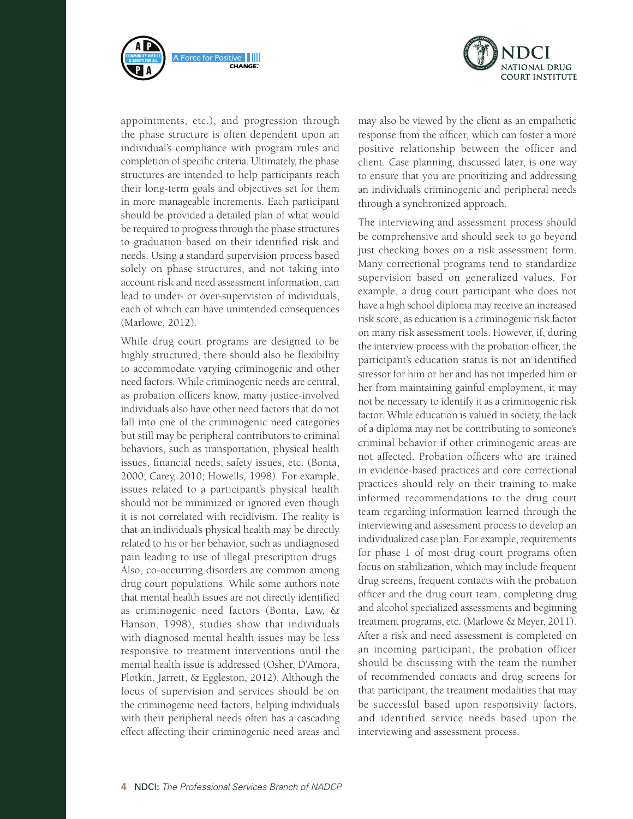



appointments, etc.), and progression through the phase structure is often dependent upon an individual's compliance with program rules and completion of specific criteria. Ultimately, the phase structures are intended to help participants reach their long-term goals and objectives set for them in more manageable increments. Each participant should be provided a detailed plan of what would be required to progress through the phase structures to graduation based on their identified risk and needs. Using a standard supervision process based solely on phase structures, and not taking into account risk and need assessment information, can lead to under- or over-supervision of individuals, each of which can have unintended consequences (Marlowe, 2012).

While drug court programs are designed to be highly structured, there should also be flexibility to accommodate varying criminogenic and other need factors. While criminogenic needs are central, as probation officers know, many justice-involved individuals also have other need factors that do not fall into one of the criminogenic need categories but still may be peripheral contributors to criminal behaviors, such as transportation, physical health issues, financial needs, safety issues, etc. (Bonta, 2000; Carey, 2010; Howells, 1998). For example, issues related to a participant's physical health should not be minimized or ignored even though it is not correlated with recidivism. The reality is that an individual's physical health may be directly related to his or her behavior, such as undiagnosed pain leading to use of illegal prescription drugs. Also, co-occurring disorders are common among drug court populations. While some authors note that mental health issues are not directly identified as criminogenic need factors (Bonta, Law, & Hanson, 1998), studies show that individuals with diagnosed mental health issues may be less responsive to treatment interventions until the mental health issue is addressed (Osher, D'Amora, Plotkin, Jarrett, & Eggleston, 2012). Although the focus of supervision and services should be on the criminogenic need factors, helping individuals with their peripheral needs often has a cascading effect affecting their criminogenic need areas and

may also be viewed by the client as an empathetic response from the officer, which can foster a more positive relationship between the officer and client. Case planning, discussed later, is one way to ensure that you are prioritizing and addressing an individual's criminogenic and peripheral needs through a synchronized approach.

The interviewing and assessment process should be comprehensive and should seek to go beyond just checking boxes on a risk assessment form. Many correctional programs tend to standardize supervision based on generalized values. For example, a drug court participant who does not have a high school diploma may receive an increased risk score, as education is a criminogenic risk factor on many risk assessment tools. However, if, during the interview process with the probation officer, the participant's education status is not an identified stressor for him or her and has not impeded him or her from maintaining gainful employment, it may not be necessary to identify it as a criminogenic risk factor. While education is valued in society, the lack of a diploma may not be contributing to someone's criminal behavior if other criminogenic areas are not affected. Probation officers who are trained in evidence-based practices and core correctional practices should rely on their training to make informed recommendations to the drug court team regarding information learned through the interviewing and assessment process to develop an individualized case plan. For example, requirements for phase 1 of most drug court programs often focus on stabilization, which may include frequent drug screens, frequent contacts with the probation officer and the drug court team, completing drug and alcohol specialized assessments and beginning treatment programs, etc. (Marlowe & Meyer, 2011). After a risk and need assessment is completed on an incoming participant, the probation officer should be discussing with the team the number of recommended contacts and drug screens for that participant, the treatment modalities that may be successful based upon responsivity factors, and identified service needs based upon the interviewing and assessment process.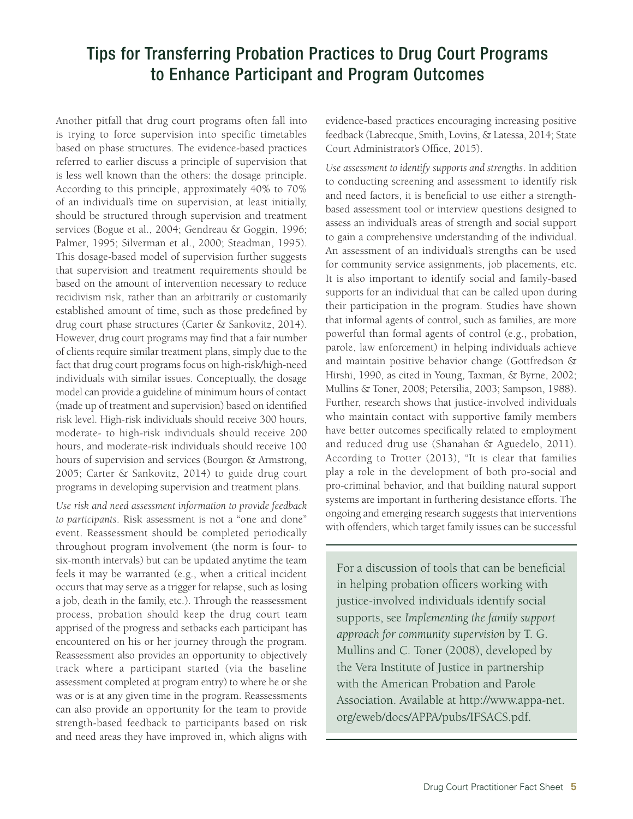Another pitfall that drug court programs often fall into is trying to force supervision into specific timetables based on phase structures. The evidence-based practices referred to earlier discuss a principle of supervision that is less well known than the others: the dosage principle. According to this principle, approximately 40% to 70% of an individual's time on supervision, at least initially, should be structured through supervision and treatment services (Bogue et al., 2004; Gendreau & Goggin, 1996; Palmer, 1995; Silverman et al., 2000; Steadman, 1995). This dosage-based model of supervision further suggests that supervision and treatment requirements should be based on the amount of intervention necessary to reduce recidivism risk, rather than an arbitrarily or customarily established amount of time, such as those predefined by drug court phase structures (Carter & Sankovitz, 2014). However, drug court programs may find that a fair number of clients require similar treatment plans, simply due to the fact that drug court programs focus on high-risk/high-need individuals with similar issues. Conceptually, the dosage model can provide a guideline of minimum hours of contact (made up of treatment and supervision) based on identified risk level. High-risk individuals should receive 300 hours, moderate- to high-risk individuals should receive 200 hours, and moderate-risk individuals should receive 100 hours of supervision and services (Bourgon & Armstrong, 2005; Carter & Sankovitz, 2014) to guide drug court programs in developing supervision and treatment plans.

*Use risk and need assessment information to provide feedback to participants*. Risk assessment is not a "one and done" event. Reassessment should be completed periodically throughout program involvement (the norm is four- to six-month intervals) but can be updated anytime the team feels it may be warranted (e.g., when a critical incident occurs that may serve as a trigger for relapse, such as losing a job, death in the family, etc.). Through the reassessment process, probation should keep the drug court team apprised of the progress and setbacks each participant has encountered on his or her journey through the program. Reassessment also provides an opportunity to objectively track where a participant started (via the baseline assessment completed at program entry) to where he or she was or is at any given time in the program. Reassessments can also provide an opportunity for the team to provide strength-based feedback to participants based on risk and need areas they have improved in, which aligns with

evidence-based practices encouraging increasing positive feedback (Labrecque, Smith, Lovins, & Latessa, 2014; State Court Administrator's Office, 2015).

*Use assessment to identify supports and strengths*. In addition to conducting screening and assessment to identify risk and need factors, it is beneficial to use either a strengthbased assessment tool or interview questions designed to assess an individual's areas of strength and social support to gain a comprehensive understanding of the individual. An assessment of an individual's strengths can be used for community service assignments, job placements, etc. It is also important to identify social and family-based supports for an individual that can be called upon during their participation in the program. Studies have shown that informal agents of control, such as families, are more powerful than formal agents of control (e.g., probation, parole, law enforcement) in helping individuals achieve and maintain positive behavior change (Gottfredson & Hirshi, 1990, as cited in Young, Taxman, & Byrne, 2002; Mullins & Toner, 2008; Petersilia, 2003; Sampson, 1988). Further, research shows that justice-involved individuals who maintain contact with supportive family members have better outcomes specifically related to employment and reduced drug use (Shanahan & Aguedelo, 2011). According to Trotter (2013), "It is clear that families play a role in the development of both pro-social and pro-criminal behavior, and that building natural support systems are important in furthering desistance efforts. The ongoing and emerging research suggests that interventions with offenders, which target family issues can be successful

For a discussion of tools that can be beneficial in helping probation officers working with justice-involved individuals identify social supports, see *Implementing the family support approach for community supervision* by T. G. Mullins and C. Toner (2008), developed by the Vera Institute of Justice in partnership with the American Probation and Parole Association. Available at [http://www.appa-net.](http://www.appa-net.org/eweb/docs/APPA/pubs/IFSACS.pdf) [org/eweb/docs/APPA/pubs/IFSACS.pdf.](http://www.appa-net.org/eweb/docs/APPA/pubs/IFSACS.pdf)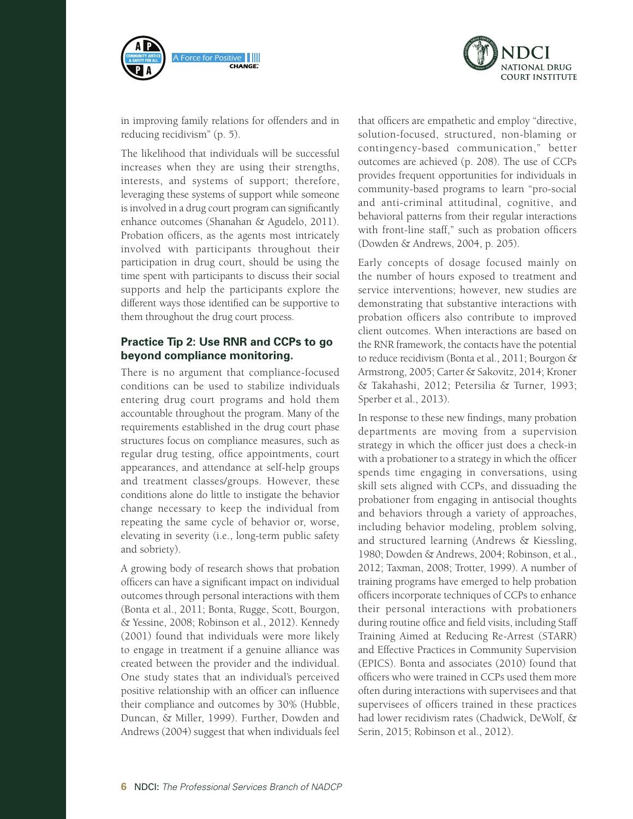



in improving family relations for offenders and in reducing recidivism" (p. 5).

The likelihood that individuals will be successful increases when they are using their strengths, interests, and systems of support; therefore, leveraging these systems of support while someone is involved in a drug court program can significantly enhance outcomes (Shanahan & Agudelo, 2011). Probation officers, as the agents most intricately involved with participants throughout their participation in drug court, should be using the time spent with participants to discuss their social supports and help the participants explore the different ways those identified can be supportive to them throughout the drug court process.

#### **Practice Tip 2: Use RNR and CCPs to go beyond compliance monitoring.**

There is no argument that compliance-focused conditions can be used to stabilize individuals entering drug court programs and hold them accountable throughout the program. Many of the requirements established in the drug court phase structures focus on compliance measures, such as regular drug testing, office appointments, court appearances, and attendance at self-help groups and treatment classes/groups. However, these conditions alone do little to instigate the behavior change necessary to keep the individual from repeating the same cycle of behavior or, worse, elevating in severity (i.e., long-term public safety and sobriety).

A growing body of research shows that probation officers can have a significant impact on individual outcomes through personal interactions with them (Bonta et al., 2011; Bonta, Rugge, Scott, Bourgon, & Yessine, 2008; Robinson et al., 2012). Kennedy (2001) found that individuals were more likely to engage in treatment if a genuine alliance was created between the provider and the individual. One study states that an individual's perceived positive relationship with an officer can influence their compliance and outcomes by 30% (Hubble, Duncan, & Miller, 1999). Further, Dowden and Andrews (2004) suggest that when individuals feel that officers are empathetic and employ "directive, solution-focused, structured, non-blaming or contingency-based communication," better outcomes are achieved (p. 208). The use of CCPs provides frequent opportunities for individuals in community-based programs to learn "pro-social and anti-criminal attitudinal, cognitive, and behavioral patterns from their regular interactions with front-line staff," such as probation officers (Dowden & Andrews, 2004, p. 205).

Early concepts of dosage focused mainly on the number of hours exposed to treatment and service interventions; however, new studies are demonstrating that substantive interactions with probation officers also contribute to improved client outcomes. When interactions are based on the RNR framework, the contacts have the potential to reduce recidivism (Bonta et al., 2011; Bourgon & Armstrong, 2005; Carter & Sakovitz, 2014; Kroner & Takahashi, 2012; Petersilia & Turner, 1993; Sperber et al., 2013).

In response to these new findings, many probation departments are moving from a supervision strategy in which the officer just does a check-in with a probationer to a strategy in which the officer spends time engaging in conversations, using skill sets aligned with CCPs, and dissuading the probationer from engaging in antisocial thoughts and behaviors through a variety of approaches, including behavior modeling, problem solving, and structured learning (Andrews & Kiessling, 1980; Dowden & Andrews, 2004; Robinson, et al., 2012; Taxman, 2008; Trotter, 1999). A number of training programs have emerged to help probation officers incorporate techniques of CCPs to enhance their personal interactions with probationers during routine office and field visits, including Staff Training Aimed at Reducing Re-Arrest (STARR) and Effective Practices in Community Supervision (EPICS). Bonta and associates (2010) found that officers who were trained in CCPs used them more often during interactions with supervisees and that supervisees of officers trained in these practices had lower recidivism rates (Chadwick, DeWolf, & Serin, 2015; Robinson et al., 2012).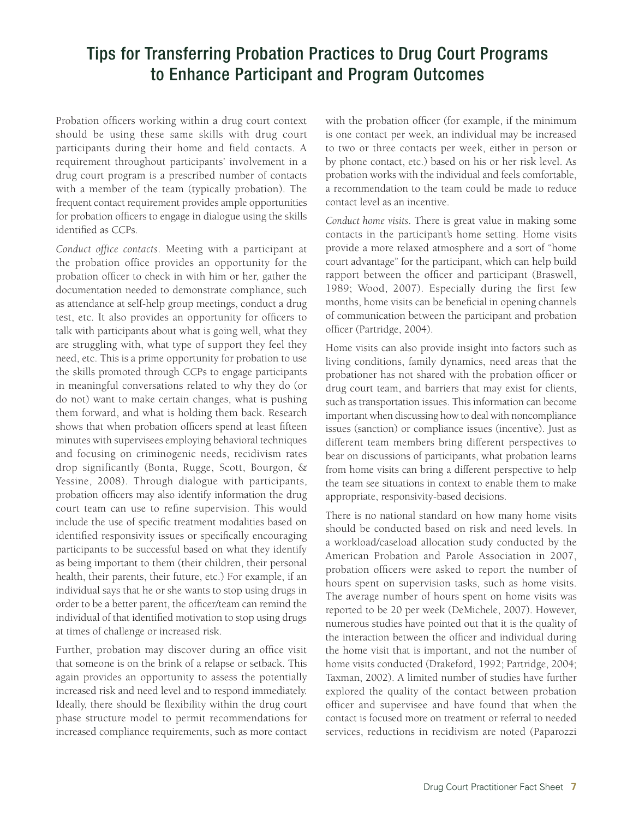Probation officers working within a drug court context should be using these same skills with drug court participants during their home and field contacts. A requirement throughout participants' involvement in a drug court program is a prescribed number of contacts with a member of the team (typically probation). The frequent contact requirement provides ample opportunities for probation officers to engage in dialogue using the skills identified as CCPs.

*Conduct office contacts*. Meeting with a participant at the probation office provides an opportunity for the probation officer to check in with him or her, gather the documentation needed to demonstrate compliance, such as attendance at self-help group meetings, conduct a drug test, etc. It also provides an opportunity for officers to talk with participants about what is going well, what they are struggling with, what type of support they feel they need, etc. This is a prime opportunity for probation to use the skills promoted through CCPs to engage participants in meaningful conversations related to why they do (or do not) want to make certain changes, what is pushing them forward, and what is holding them back. Research shows that when probation officers spend at least fifteen minutes with supervisees employing behavioral techniques and focusing on criminogenic needs, recidivism rates drop significantly (Bonta, Rugge, Scott, Bourgon, & Yessine, 2008). Through dialogue with participants, probation officers may also identify information the drug court team can use to refine supervision. This would include the use of specific treatment modalities based on identified responsivity issues or specifically encouraging participants to be successful based on what they identify as being important to them (their children, their personal health, their parents, their future, etc.) For example, if an individual says that he or she wants to stop using drugs in order to be a better parent, the officer/team can remind the individual of that identified motivation to stop using drugs at times of challenge or increased risk.

Further, probation may discover during an office visit that someone is on the brink of a relapse or setback. This again provides an opportunity to assess the potentially increased risk and need level and to respond immediately. Ideally, there should be flexibility within the drug court phase structure model to permit recommendations for increased compliance requirements, such as more contact

with the probation officer (for example, if the minimum is one contact per week, an individual may be increased to two or three contacts per week, either in person or by phone contact, etc.) based on his or her risk level. As probation works with the individual and feels comfortable, a recommendation to the team could be made to reduce contact level as an incentive.

*Conduct home visits*. There is great value in making some contacts in the participant's home setting. Home visits provide a more relaxed atmosphere and a sort of "home court advantage" for the participant, which can help build rapport between the officer and participant (Braswell, 1989; Wood, 2007). Especially during the first few months, home visits can be beneficial in opening channels of communication between the participant and probation officer (Partridge, 2004).

Home visits can also provide insight into factors such as living conditions, family dynamics, need areas that the probationer has not shared with the probation officer or drug court team, and barriers that may exist for clients, such as transportation issues. This information can become important when discussing how to deal with noncompliance issues (sanction) or compliance issues (incentive). Just as different team members bring different perspectives to bear on discussions of participants, what probation learns from home visits can bring a different perspective to help the team see situations in context to enable them to make appropriate, responsivity-based decisions.

There is no national standard on how many home visits should be conducted based on risk and need levels. In a workload/caseload allocation study conducted by the American Probation and Parole Association in 2007, probation officers were asked to report the number of hours spent on supervision tasks, such as home visits. The average number of hours spent on home visits was reported to be 20 per week (DeMichele, 2007). However, numerous studies have pointed out that it is the quality of the interaction between the officer and individual during the home visit that is important, and not the number of home visits conducted (Drakeford, 1992; Partridge, 2004; Taxman, 2002). A limited number of studies have further explored the quality of the contact between probation officer and supervisee and have found that when the contact is focused more on treatment or referral to needed services, reductions in recidivism are noted (Paparozzi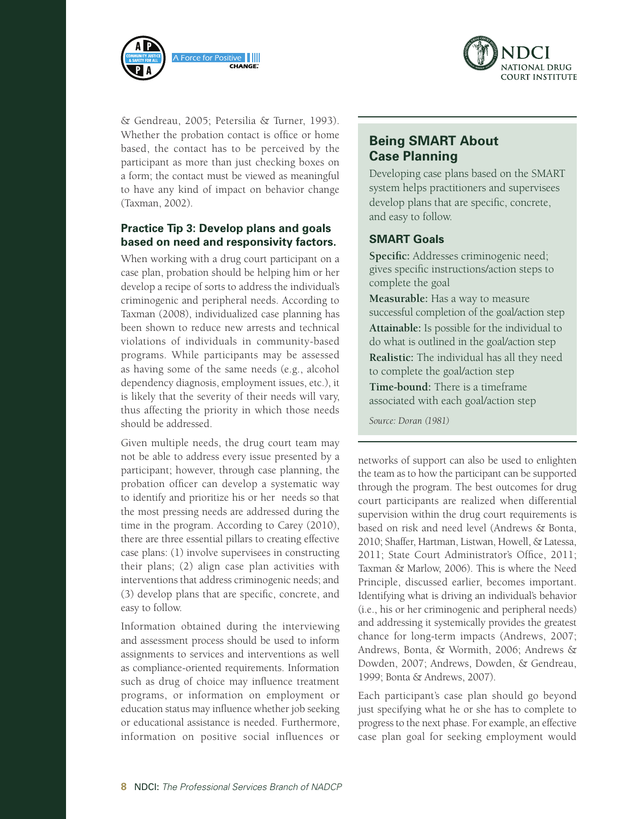



& Gendreau, 2005; Petersilia & Turner, 1993). Whether the probation contact is office or home based, the contact has to be perceived by the participant as more than just checking boxes on a form; the contact must be viewed as meaningful to have any kind of impact on behavior change (Taxman, 2002).

#### **Practice Tip 3: Develop plans and goals based on need and responsivity factors.**

When working with a drug court participant on a case plan, probation should be helping him or her develop a recipe of sorts to address the individual's criminogenic and peripheral needs. According to Taxman (2008), individualized case planning has been shown to reduce new arrests and technical violations of individuals in community-based programs. While participants may be assessed as having some of the same needs (e.g., alcohol dependency diagnosis, employment issues, etc.), it is likely that the severity of their needs will vary, thus affecting the priority in which those needs should be addressed.

Given multiple needs, the drug court team may not be able to address every issue presented by a participant; however, through case planning, the probation officer can develop a systematic way to identify and prioritize his or her needs so that the most pressing needs are addressed during the time in the program. According to Carey (2010), there are three essential pillars to creating effective case plans: (1) involve supervisees in constructing their plans; (2) align case plan activities with interventions that address criminogenic needs; and (3) develop plans that are specific, concrete, and easy to follow.

Information obtained during the interviewing and assessment process should be used to inform assignments to services and interventions as well as compliance-oriented requirements. Information such as drug of choice may influence treatment programs, or information on employment or education status may influence whether job seeking or educational assistance is needed. Furthermore, information on positive social influences or

#### **Being SMART About Case Planning**

Developing case plans based on the SMART system helps practitioners and supervisees develop plans that are specific, concrete, and easy to follow.

#### **SMART Goals**

**Specific:** Addresses criminogenic need; gives specific instructions/action steps to complete the goal

**Measurable:** Has a way to measure successful completion of the goal/action step **Attainable:** Is possible for the individual to do what is outlined in the goal/action step **Realistic:** The individual has all they need

to complete the goal/action step

**Time-bound:** There is a timeframe associated with each goal/action step

*Source: Doran (1981)*

networks of support can also be used to enlighten the team as to how the participant can be supported through the program. The best outcomes for drug court participants are realized when differential supervision within the drug court requirements is based on risk and need level (Andrews & Bonta, 2010; Shaffer, Hartman, Listwan, Howell, & Latessa, 2011; State Court Administrator's Office, 2011; Taxman & Marlow, 2006). This is where the Need Principle, discussed earlier, becomes important. Identifying what is driving an individual's behavior (i.e., his or her criminogenic and peripheral needs) and addressing it systemically provides the greatest chance for long-term impacts (Andrews, 2007; Andrews, Bonta, & Wormith, 2006; Andrews & Dowden, 2007; Andrews, Dowden, & Gendreau, 1999; Bonta & Andrews, 2007).

Each participant's case plan should go beyond just specifying what he or she has to complete to progress to the next phase. For example, an effective case plan goal for seeking employment would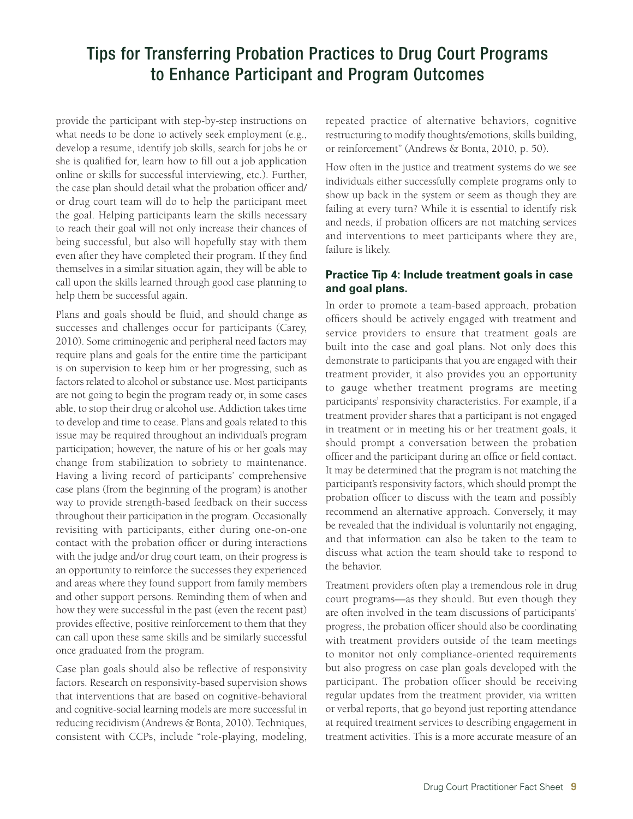provide the participant with step-by-step instructions on what needs to be done to actively seek employment (e.g., develop a resume, identify job skills, search for jobs he or she is qualified for, learn how to fill out a job application online or skills for successful interviewing, etc.). Further, the case plan should detail what the probation officer and/ or drug court team will do to help the participant meet the goal. Helping participants learn the skills necessary to reach their goal will not only increase their chances of being successful, but also will hopefully stay with them even after they have completed their program. If they find themselves in a similar situation again, they will be able to call upon the skills learned through good case planning to help them be successful again.

Plans and goals should be fluid, and should change as successes and challenges occur for participants (Carey, 2010). Some criminogenic and peripheral need factors may require plans and goals for the entire time the participant is on supervision to keep him or her progressing, such as factors related to alcohol or substance use. Most participants are not going to begin the program ready or, in some cases able, to stop their drug or alcohol use. Addiction takes time to develop and time to cease. Plans and goals related to this issue may be required throughout an individual's program participation; however, the nature of his or her goals may change from stabilization to sobriety to maintenance. Having a living record of participants' comprehensive case plans (from the beginning of the program) is another way to provide strength-based feedback on their success throughout their participation in the program. Occasionally revisiting with participants, either during one-on-one contact with the probation officer or during interactions with the judge and/or drug court team, on their progress is an opportunity to reinforce the successes they experienced and areas where they found support from family members and other support persons. Reminding them of when and how they were successful in the past (even the recent past) provides effective, positive reinforcement to them that they can call upon these same skills and be similarly successful once graduated from the program.

Case plan goals should also be reflective of responsivity factors. Research on responsivity-based supervision shows that interventions that are based on cognitive-behavioral and cognitive-social learning models are more successful in reducing recidivism (Andrews & Bonta, 2010). Techniques, consistent with CCPs, include "role-playing, modeling,

repeated practice of alternative behaviors, cognitive restructuring to modify thoughts/emotions, skills building, or reinforcement" (Andrews & Bonta, 2010, p. 50).

How often in the justice and treatment systems do we see individuals either successfully complete programs only to show up back in the system or seem as though they are failing at every turn? While it is essential to identify risk and needs, if probation officers are not matching services and interventions to meet participants where they are, failure is likely.

#### **Practice Tip 4: Include treatment goals in case and goal plans.**

In order to promote a team-based approach, probation officers should be actively engaged with treatment and service providers to ensure that treatment goals are built into the case and goal plans. Not only does this demonstrate to participants that you are engaged with their treatment provider, it also provides you an opportunity to gauge whether treatment programs are meeting participants' responsivity characteristics. For example, if a treatment provider shares that a participant is not engaged in treatment or in meeting his or her treatment goals, it should prompt a conversation between the probation officer and the participant during an office or field contact. It may be determined that the program is not matching the participant's responsivity factors, which should prompt the probation officer to discuss with the team and possibly recommend an alternative approach. Conversely, it may be revealed that the individual is voluntarily not engaging, and that information can also be taken to the team to discuss what action the team should take to respond to the behavior.

Treatment providers often play a tremendous role in drug court programs—as they should. But even though they are often involved in the team discussions of participants' progress, the probation officer should also be coordinating with treatment providers outside of the team meetings to monitor not only compliance-oriented requirements but also progress on case plan goals developed with the participant. The probation officer should be receiving regular updates from the treatment provider, via written or verbal reports, that go beyond just reporting attendance at required treatment services to describing engagement in treatment activities. This is a more accurate measure of an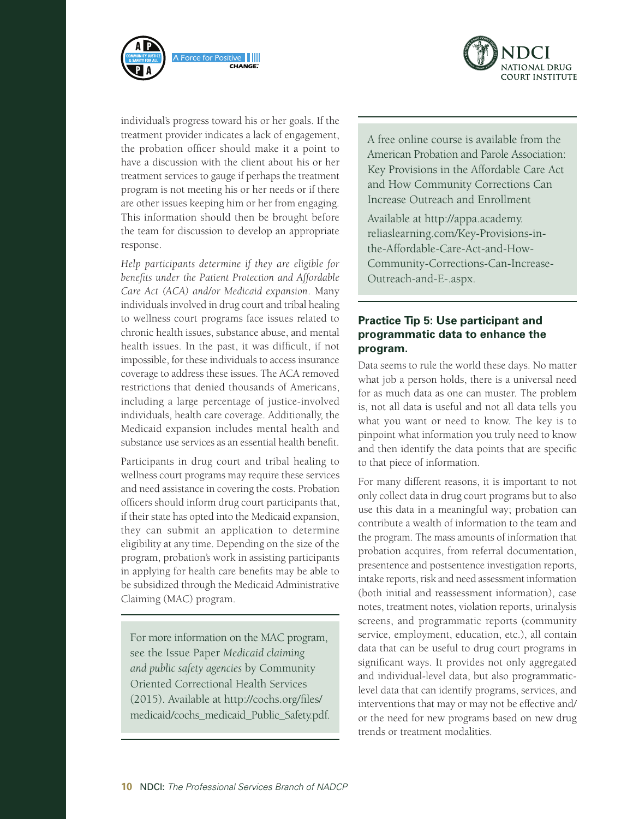



individual's progress toward his or her goals. If the treatment provider indicates a lack of engagement, the probation officer should make it a point to have a discussion with the client about his or her treatment services to gauge if perhaps the treatment program is not meeting his or her needs or if there are other issues keeping him or her from engaging. This information should then be brought before the team for discussion to develop an appropriate response.

*Help participants determine if they are eligible for benefits under the Patient Protection and Affordable Care Act (ACA) and/or Medicaid expansion*. Many individuals involved in drug court and tribal healing to wellness court programs face issues related to chronic health issues, substance abuse, and mental health issues. In the past, it was difficult, if not impossible, for these individuals to access insurance coverage to address these issues. The ACA removed restrictions that denied thousands of Americans, including a large percentage of justice-involved individuals, health care coverage. Additionally, the Medicaid expansion includes mental health and substance use services as an essential health benefit.

Participants in drug court and tribal healing to wellness court programs may require these services and need assistance in covering the costs. Probation officers should inform drug court participants that, if their state has opted into the Medicaid expansion, they can submit an application to determine eligibility at any time. Depending on the size of the program, probation's work in assisting participants in applying for health care benefits may be able to be subsidized through the Medicaid Administrative Claiming (MAC) program.

For more information on the MAC program, see the Issue Paper *Medicaid claiming and public safety agencies* by Community Oriented Correctional Health Services (2015). Available at [http://cochs.org/files/](http://cochs.org/files/medicaid/cochs_medicaid_Public_Safety.pdf) [medicaid/cochs\\_medicaid\\_Public\\_Safety.pdf.](http://cochs.org/files/medicaid/cochs_medicaid_Public_Safety.pdf)

A free online course is available from the American Probation and Parole Association: Key Provisions in the Affordable Care Act and How Community Corrections Can Increase Outreach and Enrollment

Available at [http://appa.academy.](http://appa.academy.reliaslearning.com/Key-Provisions-in-the-Affordable-Care-Act-and-How-Community-Corrections-Can-Increase-Outreach-and-E-.aspx) [reliaslearning.com/Key-Provisions-in](http://appa.academy.reliaslearning.com/Key-Provisions-in-the-Affordable-Care-Act-and-How-Community-Corrections-Can-Increase-Outreach-and-E-.aspx)[the-Affordable-Care-Act-and-How-](http://appa.academy.reliaslearning.com/Key-Provisions-in-the-Affordable-Care-Act-and-How-Community-Corrections-Can-Increase-Outreach-and-E-.aspx)[Community-Corrections-Can-Increase-](http://appa.academy.reliaslearning.com/Key-Provisions-in-the-Affordable-Care-Act-and-How-Community-Corrections-Can-Increase-Outreach-and-E-.aspx)[Outreach-and-E-.aspx](http://appa.academy.reliaslearning.com/Key-Provisions-in-the-Affordable-Care-Act-and-How-Community-Corrections-Can-Increase-Outreach-and-E-.aspx).

#### **Practice Tip 5: Use participant and programmatic data to enhance the program.**

Data seems to rule the world these days. No matter what job a person holds, there is a universal need for as much data as one can muster. The problem is, not all data is useful and not all data tells you what you want or need to know. The key is to pinpoint what information you truly need to know and then identify the data points that are specific to that piece of information.

For many different reasons, it is important to not only collect data in drug court programs but to also use this data in a meaningful way; probation can contribute a wealth of information to the team and the program. The mass amounts of information that probation acquires, from referral documentation, presentence and postsentence investigation reports, intake reports, risk and need assessment information (both initial and reassessment information), case notes, treatment notes, violation reports, urinalysis screens, and programmatic reports (community service, employment, education, etc.), all contain data that can be useful to drug court programs in significant ways. It provides not only aggregated and individual-level data, but also programmaticlevel data that can identify programs, services, and interventions that may or may not be effective and/ or the need for new programs based on new drug trends or treatment modalities.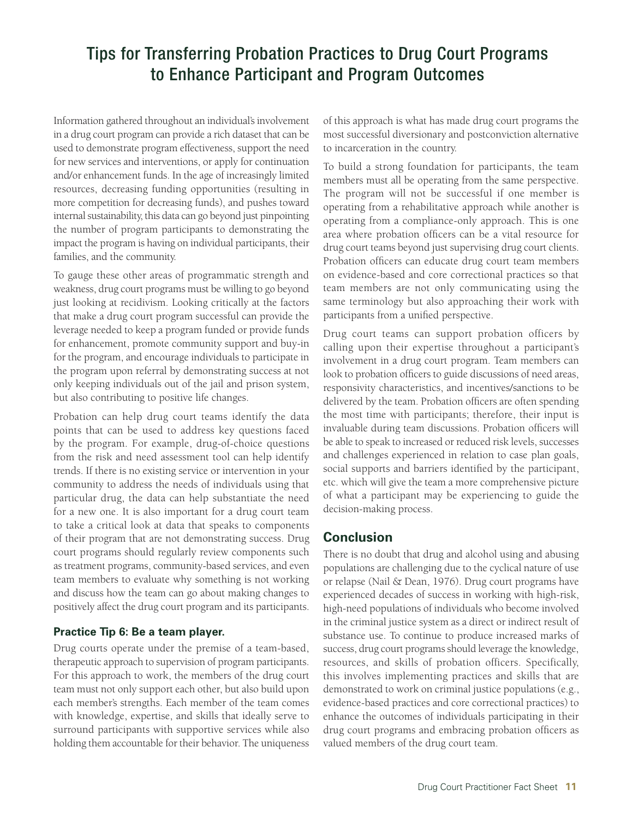Information gathered throughout an individual's involvement in a drug court program can provide a rich dataset that can be used to demonstrate program effectiveness, support the need for new services and interventions, or apply for continuation and/or enhancement funds. In the age of increasingly limited resources, decreasing funding opportunities (resulting in more competition for decreasing funds), and pushes toward internal sustainability, this data can go beyond just pinpointing the number of program participants to demonstrating the impact the program is having on individual participants, their families, and the community.

To gauge these other areas of programmatic strength and weakness, drug court programs must be willing to go beyond just looking at recidivism. Looking critically at the factors that make a drug court program successful can provide the leverage needed to keep a program funded or provide funds for enhancement, promote community support and buy-in for the program, and encourage individuals to participate in the program upon referral by demonstrating success at not only keeping individuals out of the jail and prison system, but also contributing to positive life changes.

Probation can help drug court teams identify the data points that can be used to address key questions faced by the program. For example, drug-of-choice questions from the risk and need assessment tool can help identify trends. If there is no existing service or intervention in your community to address the needs of individuals using that particular drug, the data can help substantiate the need for a new one. It is also important for a drug court team to take a critical look at data that speaks to components of their program that are not demonstrating success. Drug court programs should regularly review components such as treatment programs, community-based services, and even team members to evaluate why something is not working and discuss how the team can go about making changes to positively affect the drug court program and its participants.

#### **Practice Tip 6: Be a team player.**

Drug courts operate under the premise of a team-based, therapeutic approach to supervision of program participants. For this approach to work, the members of the drug court team must not only support each other, but also build upon each member's strengths. Each member of the team comes with knowledge, expertise, and skills that ideally serve to surround participants with supportive services while also holding them accountable for their behavior. The uniqueness of this approach is what has made drug court programs the most successful diversionary and postconviction alternative to incarceration in the country.

To build a strong foundation for participants, the team members must all be operating from the same perspective. The program will not be successful if one member is operating from a rehabilitative approach while another is operating from a compliance-only approach. This is one area where probation officers can be a vital resource for drug court teams beyond just supervising drug court clients. Probation officers can educate drug court team members on evidence-based and core correctional practices so that team members are not only communicating using the same terminology but also approaching their work with participants from a unified perspective.

Drug court teams can support probation officers by calling upon their expertise throughout a participant's involvement in a drug court program. Team members can look to probation officers to guide discussions of need areas, responsivity characteristics, and incentives/sanctions to be delivered by the team. Probation officers are often spending the most time with participants; therefore, their input is invaluable during team discussions. Probation officers will be able to speak to increased or reduced risk levels, successes and challenges experienced in relation to case plan goals, social supports and barriers identified by the participant, etc. which will give the team a more comprehensive picture of what a participant may be experiencing to guide the decision-making process.

#### **Conclusion**

There is no doubt that drug and alcohol using and abusing populations are challenging due to the cyclical nature of use or relapse (Nail & Dean, 1976). Drug court programs have experienced decades of success in working with high-risk, high-need populations of individuals who become involved in the criminal justice system as a direct or indirect result of substance use. To continue to produce increased marks of success, drug court programs should leverage the knowledge, resources, and skills of probation officers. Specifically, this involves implementing practices and skills that are demonstrated to work on criminal justice populations (e.g., evidence-based practices and core correctional practices) to enhance the outcomes of individuals participating in their drug court programs and embracing probation officers as valued members of the drug court team.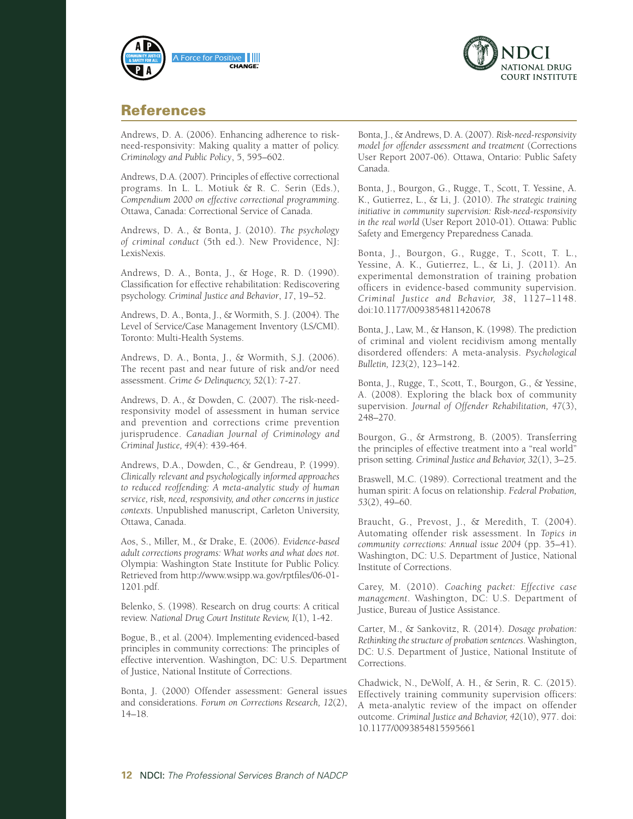



#### References

Andrews, D. A. (2006). Enhancing adherence to riskneed-responsivity: Making quality a matter of policy. *Criminology and Public Policy*, 5, 595–602.

Andrews, D.A. (2007). Principles of effective correctional programs. In L. L. Motiuk & R. C. Serin (Eds.), *Compendium 2000 on effective correctional programming*. Ottawa, Canada: Correctional Service of Canada.

Andrews, D. A., & Bonta, J. (2010). *The psychology of criminal conduct* (5th ed.). New Providence, NJ: LexisNexis.

Andrews, D. A., Bonta, J., & Hoge, R. D. (1990). Classification for effective rehabilitation: Rediscovering psychology. *Criminal Justice and Behavior*, *17*, 19–52.

Andrews, D. A., Bonta, J., & Wormith, S. J. (2004). The Level of Service/Case Management Inventory (LS/CMI). Toronto: Multi-Health Systems.

Andrews, D. A., Bonta, J., & Wormith, S.J. (2006). The recent past and near future of risk and/or need assessment. *Crime & Delinquency, 52*(1): 7-27.

Andrews, D. A., & Dowden, C. (2007). The risk-needresponsivity model of assessment in human service and prevention and corrections crime prevention jurisprudence. *Canadian Journal of Criminology and Criminal Justice, 49*(4): 439-464.

Andrews, D.A., Dowden, C., & Gendreau, P. (1999). *Clinically relevant and psychologically informed approaches to reduced reoffending: A meta-analytic study of human service, risk, need, responsivity, and other concerns in justice contexts*. Unpublished manuscript, Carleton University, Ottawa, Canada.

Aos, S., Miller, M., & Drake, E. (2006). *Evidence-based adult corrections programs: What works and what does not*. Olympia: Washington State Institute for Public Policy. Retrieved from [http://www.wsipp.wa.gov/rptfiles/06-01-](http://www.wsipp.wa.gov/rptfiles/06-01-1201.pdf) [1201.pdf](http://www.wsipp.wa.gov/rptfiles/06-01-1201.pdf).

Belenko, S. (1998). Research on drug courts: A critical review. *National Drug Court Institute Review, I*(1), 1-42.

Bogue, B., et al. (2004). Implementing evidenced-based principles in community corrections: The principles of effective intervention. Washington, DC: U.S. Department of Justice, National Institute of Corrections.

Bonta, J. (2000) Offender assessment: General issues and considerations. *Forum on Corrections Research, 12*(2), 14–18.

Bonta, J., & Andrews, D. A. (2007). *Risk-need-responsivity model for offender assessment and treatment* (Corrections User Report 2007-06). Ottawa, Ontario: Public Safety Canada.

Bonta, J., Bourgon, G., Rugge, T., Scott, T. Yessine, A. K., Gutierrez, L., & Li, J. (2010). *The strategic training initiative in community supervision: Risk-need-responsivity in the real world* (User Report 2010-01). Ottawa: Public Safety and Emergency Preparedness Canada.

Bonta, J., Bourgon, G., Rugge, T., Scott, T. L., Yessine, A. K., Gutierrez, L., & Li, J. (2011). An experimental demonstration of training probation officers in evidence-based community supervision. *Criminal Justice and Behavior, 38*, 1127–1148. doi:10.1177/0093854811420678

Bonta, J., Law, M., & Hanson, K. (1998). The prediction of criminal and violent recidivism among mentally disordered offenders: A meta-analysis. *Psychological Bulletin, 123*(2), 123–142.

Bonta, J., Rugge, T., Scott, T., Bourgon, G., & Yessine, A. (2008). Exploring the black box of community supervision. *Journal of Offender Rehabilitation, 47*(3), 248–270.

Bourgon, G., & Armstrong, B. (2005). Transferring the principles of effective treatment into a "real world" prison setting. *Criminal Justice and Behavior, 32*(1), 3–25.

Braswell, M.C. (1989). Correctional treatment and the human spirit: A focus on relationship. *Federal Probation, 53*(2), 49–60.

Braucht, G., Prevost, J., & Meredith, T. (2004). Automating offender risk assessment. In *Topics in community corrections: Annual issue 2004* (pp. 35–41). Washington, DC: U.S. Department of Justice, National Institute of Corrections.

Carey, M. (2010). *Coaching packet: Effective case management*. Washington, DC: U.S. Department of Justice, Bureau of Justice Assistance.

Carter, M., & Sankovitz, R. (2014). *Dosage probation: Rethinking the structure of probation sentences*. Washington, DC: U.S. Department of Justice, National Institute of Corrections.

Chadwick, N., DeWolf, A. H., & Serin, R. C. (2015). Effectively training community supervision officers: A meta-analytic review of the impact on offender outcome. *Criminal Justice and Behavior, 42*(10), 977. doi: 10.1177/0093854815595661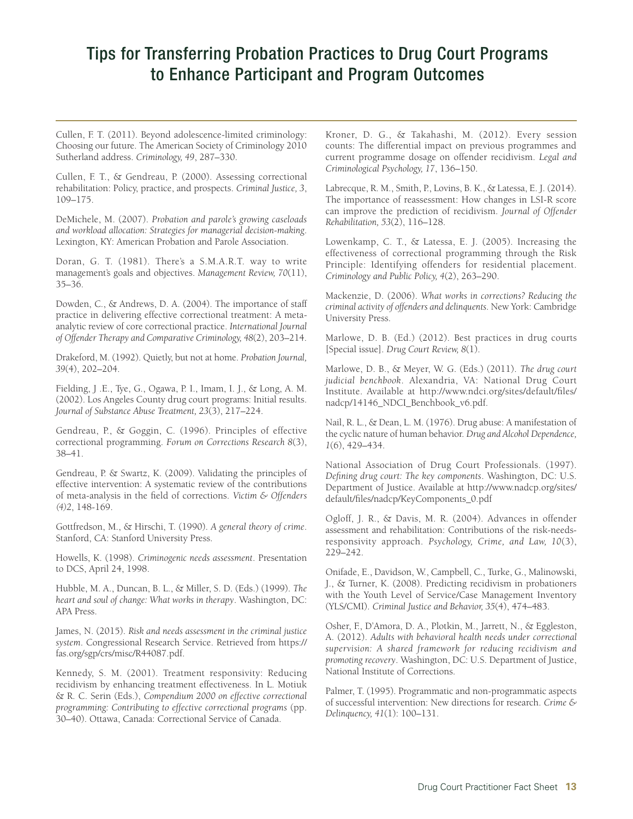Cullen, F. T. (2011). Beyond adolescence-limited criminology: Choosing our future. The American Society of Criminology 2010 Sutherland address. *Criminology, 49*, 287–330.

Cullen, F. T., & Gendreau, P. (2000). Assessing correctional rehabilitation: Policy, practice, and prospects. *Criminal Justice, 3*, 109–175.

DeMichele, M. (2007). *Probation and parole's growing caseloads and workload allocation: Strategies for managerial decision-making*. Lexington, KY: American Probation and Parole Association.

Doran, G. T. (1981). There's a S.M.A.R.T. way to write management's goals and objectives. *Management Review, 70*(11), 35–36.

Dowden, C., & Andrews, D. A. (2004). The importance of staff practice in delivering effective correctional treatment: A metaanalytic review of core correctional practice. *International Journal of Offender Therapy and Comparative Criminology, 48*(2), 203–214.

Drakeford, M. (1992). Quietly, but not at home. *Probation Journal, 39*(4), 202–204.

Fielding, J .E., Tye, G., Ogawa, P. I., Imam, I. J., & Long, A. M. (2002). Los Angeles County drug court programs: Initial results. *Journal of Substance Abuse Treatment, 23*(3), 217–224.

Gendreau, P., & Goggin, C. (1996). Principles of effective correctional programming. *Forum on Corrections Research 8*(3), 38–41.

Gendreau, P. & Swartz, K. (2009). Validating the principles of effective intervention: A systematic review of the contributions of meta-analysis in the field of corrections. *Victim & Offenders (4)2*, 148-169.

Gottfredson, M., & Hirschi, T. (1990). *A general theory of crime*. Stanford, CA: Stanford University Press.

Howells, K. (1998). *Criminogenic needs assessment*. Presentation to DCS, April 24, 1998.

Hubble, M. A., Duncan, B. L., & Miller, S. D. (Eds.) (1999). *The heart and soul of change: What works in therapy*. Washington, DC: APA Press.

James, N. (2015). *Risk and needs assessment in the criminal justice system*. Congressional Research Service. Retrieved from [https://](https://fas.org/sgp/crs/misc/R44087.pdf) [fas.org/sgp/crs/misc/R44087.pdf](https://fas.org/sgp/crs/misc/R44087.pdf).

Kennedy, S. M. (2001). Treatment responsivity: Reducing recidivism by enhancing treatment effectiveness. In L. Motiuk & R. C. Serin (Eds.), *Compendium 2000 on effective correctional programming: Contributing to effective correctional programs* (pp. 30–40). Ottawa, Canada: Correctional Service of Canada.

Kroner, D. G., & Takahashi, M. (2012). Every session counts: The differential impact on previous programmes and current programme dosage on offender recidivism. *Legal and Criminological Psychology, 17*, 136–150.

Labrecque, R. M., Smith, P., Lovins, B. K., & Latessa, E. J. (2014). The importance of reassessment: How changes in LSI-R score can improve the prediction of recidivism. *Journal of Offender Rehabilitation, 53*(2), 116–128.

Lowenkamp, C. T., & Latessa, E. J. (2005). Increasing the effectiveness of correctional programming through the Risk Principle: Identifying offenders for residential placement. *Criminology and Public Policy, 4*(2), 263–290.

Mackenzie, D. (2006). *What works in corrections? Reducing the criminal activity of offenders and delinquents*. New York: Cambridge University Press.

Marlowe, D. B. (Ed.) (2012). Best practices in drug courts [Special issue]. *Drug Court Review, 8*(1).

Marlowe, D. B., & Meyer, W. G. (Eds.) (2011). *The drug court judicial benchbook*. Alexandria, VA: National Drug Court Institute. Available at [http://www.ndci.org/sites/default/files/](http://www.ndci.org/sites/default/files/nadcp/14146_NDCI_Benchbook_v6.pdf) [nadcp/14146\\_NDCI\\_Benchbook\\_v6.pdf.](http://www.ndci.org/sites/default/files/nadcp/14146_NDCI_Benchbook_v6.pdf)

Nail, R. L., & Dean, L. M. (1976). Drug abuse: A manifestation of the cyclic nature of human behavior. *Drug and Alcohol Dependence, 1*(6), 429–434.

National Association of Drug Court Professionals. (1997). *Defining drug court: The key components*. Washington, DC: U.S. Department of Justice. Available at [http://www.nadcp.org/sites/](http://www.nadcp.org/sites/default/files/nadcp/KeyComponents_0.pdf) [default/files/nadcp/KeyComponents\\_0.pdf](http://www.nadcp.org/sites/default/files/nadcp/KeyComponents_0.pdf)

Ogloff, J. R., & Davis, M. R. (2004). Advances in offender assessment and rehabilitation: Contributions of the risk-needsresponsivity approach. *Psychology, Crime, and Law, 10*(3), 229–242.

Onifade, E., Davidson, W., Campbell, C., Turke, G., Malinowski, J., & Turner, K. (2008). Predicting recidivism in probationers with the Youth Level of Service/Case Management Inventory (YLS/CMI). *Criminal Justice and Behavior, 35*(4), 474–483.

Osher, F., D'Amora, D. A., Plotkin, M., Jarrett, N., & Eggleston, A. (2012). *Adults with behavioral health needs under correctional supervision: A shared framework for reducing recidivism and promoting recovery*. Washington, DC: U.S. Department of Justice, National Institute of Corrections.

Palmer, T. (1995). Programmatic and non-programmatic aspects of successful intervention: New directions for research. *Crime & Delinquency, 41*(1): 100–131.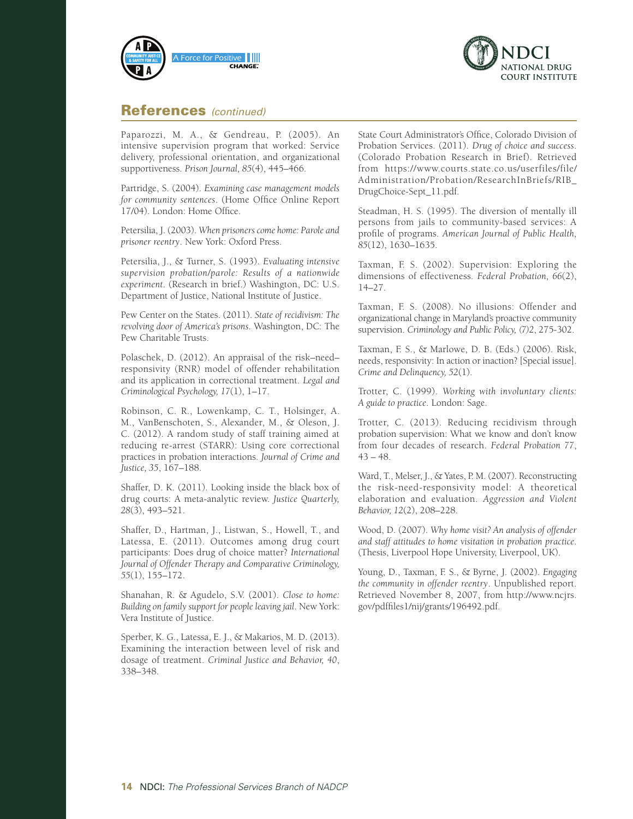



#### References *(continued)*

Paparozzi, M. A., & Gendreau, P. (2005). An intensive supervision program that worked: Service delivery, professional orientation, and organizational supportiveness. *Prison Journal, 85*(4), 445–466.

Partridge, S. (2004). *Examining case management models for community sentences*. (Home Office Online Report 17/04). London: Home Office.

Petersilia, J. (2003). *When prisoners come home: Parole and prisoner reentry*. New York: Oxford Press.

Petersilia, J., & Turner, S. (1993). *Evaluating intensive supervision probation/parole: Results of a nationwide experiment*. (Research in brief.) Washington, DC: U.S. Department of Justice, National Institute of Justice.

Pew Center on the States. (2011). *State of recidivism: The revolving door of America's prisons*. Washington, DC: The Pew Charitable Trusts.

Polaschek, D. (2012). An appraisal of the risk–need– responsivity (RNR) model of offender rehabilitation and its application in correctional treatment. *Legal and Criminological Psychology, 17*(1), 1–17.

Robinson, C. R., Lowenkamp, C. T., Holsinger, A. M., VanBenschoten, S., Alexander, M., & Oleson, J. C. (2012). A random study of staff training aimed at reducing re-arrest (STARR): Using core correctional practices in probation interactions. *Journal of Crime and Justice, 35*, 167–188.

Shaffer, D. K. (2011). Looking inside the black box of drug courts: A meta-analytic review. *Justice Quarterly, 28*(3), 493–521.

Shaffer, D., Hartman, J., Listwan, S., Howell, T., and Latessa, E. (2011). Outcomes among drug court participants: Does drug of choice matter? *International Journal of Offender Therapy and Comparative Criminology, 55*(1), 155–172.

Shanahan, R. & Agudelo, S.V. (2001). *Close to home: Building on family support for people leaving jail*. New York: Vera Institute of Justice.

Sperber, K. G., Latessa, E. J., & Makarios, M. D. (2013). Examining the interaction between level of risk and dosage of treatment. *Criminal Justice and Behavior, 40*, 338–348.

State Court Administrator's Office, Colorado Division of Probation Services. (2011). *Drug of choice and success*. (Colorado Probation Research in Brief). Retrieved from [https://www.courts.state.co.us/userfiles/file/](https://www.courts.state.co.us/userfiles/file/Administration/Probation/ResearchInBriefs/RIB_DrugChoice-Sept_11.pdf) [Administration/Probation/ResearchInBriefs/RIB\\_](https://www.courts.state.co.us/userfiles/file/Administration/Probation/ResearchInBriefs/RIB_DrugChoice-Sept_11.pdf) [DrugChoice-Sept\\_11.pdf](https://www.courts.state.co.us/userfiles/file/Administration/Probation/ResearchInBriefs/RIB_DrugChoice-Sept_11.pdf).

Steadman, H. S. (1995). The diversion of mentally ill persons from jails to community-based services: A profile of programs. *American Journal of Public Health, 85*(12), 1630–1635.

Taxman, F. S. (2002). Supervision: Exploring the dimensions of effectiveness. *Federal Probation, 66*(2), 14–27.

Taxman, F. S. (2008). No illusions: Offender and organizational change in Maryland's proactive community supervision. *Criminology and Public Policy, (7)2*, 275-302.

Taxman, F. S., & Marlowe, D. B. (Eds.) (2006). Risk, needs, responsivity: In action or inaction? [Special issue]. *Crime and Delinquency, 52*(1).

Trotter, C. (1999). *Working with involuntary clients: A guide to practice*. London: Sage.

Trotter, C. (2013). Reducing recidivism through probation supervision: What we know and don't know from four decades of research. *Federal Probation 77*,  $43 - 48.$ 

Ward, T., Melser, J., & Yates, P. M. (2007). Reconstructing the risk-need-responsivity model: A theoretical elaboration and evaluation. *Aggression and Violent Behavior, 12*(2), 208–228.

Wood, D. (2007). *Why home visit? An analysis of offender and staff attitudes to home visitation in probation practice*. (Thesis, Liverpool Hope University, Liverpool, UK).

Young, D., Taxman, F. S., & Byrne, J. (2002). *Engaging the community in offender reentry*. Unpublished report. Retrieved November 8, 2007, from [http://www.ncjrs.](http://www.ncjrs.gov/pdffiles1/nij/grants/196492.pdf) [gov/pdffiles1/nij/grants/196492.pdf.](http://www.ncjrs.gov/pdffiles1/nij/grants/196492.pdf)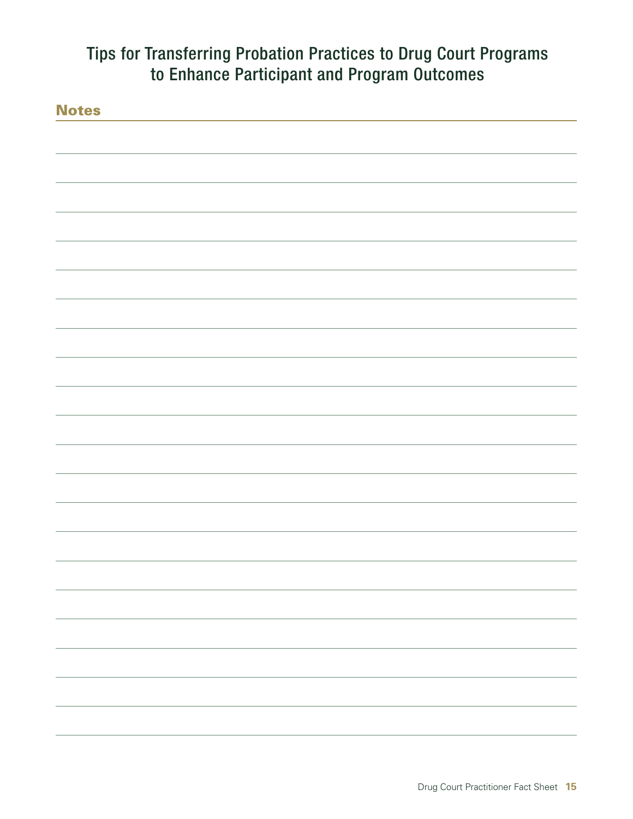| <b>Notes</b> |  |
|--------------|--|
|              |  |
|              |  |
|              |  |
|              |  |
|              |  |
|              |  |
|              |  |
|              |  |
|              |  |
|              |  |
|              |  |
|              |  |
|              |  |
|              |  |
|              |  |
|              |  |
|              |  |
|              |  |
|              |  |
|              |  |
|              |  |
|              |  |
|              |  |
|              |  |
|              |  |
|              |  |
|              |  |
|              |  |
|              |  |
|              |  |
|              |  |
|              |  |